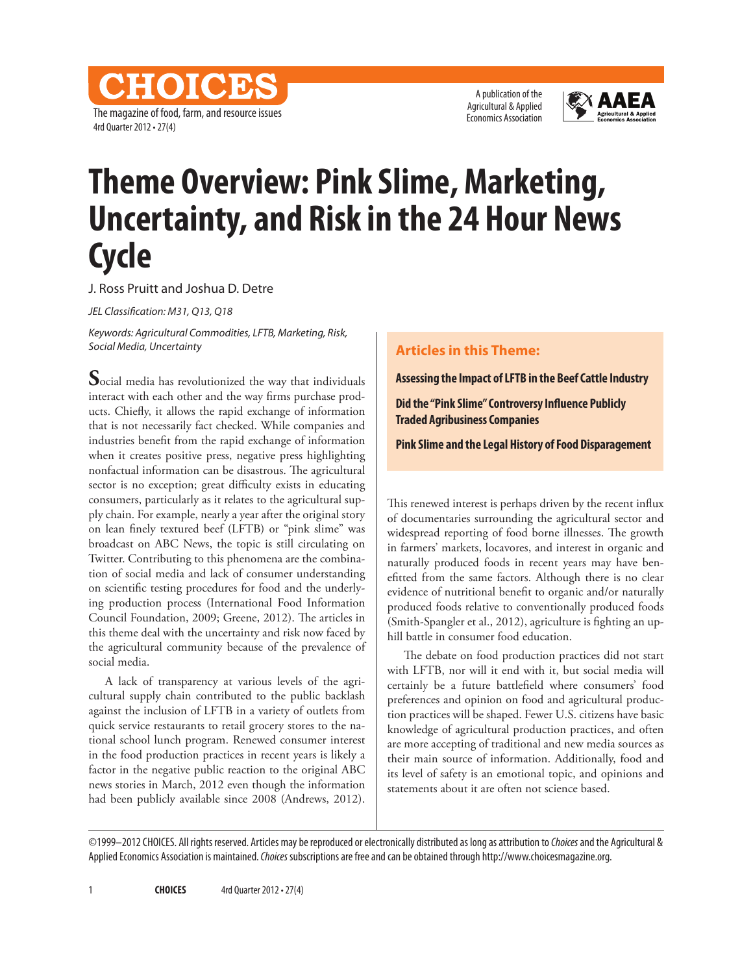CHOICES The magazine of food, farm, and resource issues 4rd Quarter 2012 • 27(4)



## **Theme Overview: Pink Slime, Marketing, Uncertainty, and Risk in the 24 Hour News Cycle**

J. Ross Pruitt and Joshua D. Detre

*JEL Classification: M31, Q13, Q18*

*Keywords: Agricultural Commodities, LFTB, Marketing, Risk, Social Media, Uncertainty*

**S**ocial media has revolutionized the way that individuals interact with each other and the way firms purchase products. Chiefly, it allows the rapid exchange of information that is not necessarily fact checked. While companies and industries benefit from the rapid exchange of information when it creates positive press, negative press highlighting nonfactual information can be disastrous. The agricultural sector is no exception; great difficulty exists in educating consumers, particularly as it relates to the agricultural supply chain. For example, nearly a year after the original story on lean finely textured beef (LFTB) or "pink slime" was broadcast on ABC News, the topic is still circulating on Twitter. Contributing to this phenomena are the combination of social media and lack of consumer understanding on scientific testing procedures for food and the underlying production process (International Food Information Council Foundation, 2009; Greene, 2012). The articles in this theme deal with the uncertainty and risk now faced by the agricultural community because of the prevalence of social media.

A lack of transparency at various levels of the agricultural supply chain contributed to the public backlash against the inclusion of LFTB in a variety of outlets from quick service restaurants to retail grocery stores to the national school lunch program. Renewed consumer interest in the food production practices in recent years is likely a factor in the negative public reaction to the original ABC news stories in March, 2012 even though the information had been publicly available since 2008 (Andrews, 2012).

## **Articles in this Theme:**

**Assessing the Impact of LFTB in the Beef Cattle Industry**

**Did the "Pink Slime" Controversy Influence Publicly Traded Agribusiness Companies**

**Pink Slime and the Legal History of Food Disparagement**

This renewed interest is perhaps driven by the recent influx of documentaries surrounding the agricultural sector and widespread reporting of food borne illnesses. The growth in farmers' markets, locavores, and interest in organic and naturally produced foods in recent years may have benefitted from the same factors. Although there is no clear evidence of nutritional benefit to organic and/or naturally produced foods relative to conventionally produced foods (Smith-Spangler et al., 2012), agriculture is fighting an uphill battle in consumer food education.

The debate on food production practices did not start with LFTB, nor will it end with it, but social media will certainly be a future battlefield where consumers' food preferences and opinion on food and agricultural production practices will be shaped. Fewer U.S. citizens have basic knowledge of agricultural production practices, and often are more accepting of traditional and new media sources as their main source of information. Additionally, food and its level of safety is an emotional topic, and opinions and statements about it are often not science based.

©1999–2012 CHOICES. All rights reserved. Articles may be reproduced or electronically distributed as long as attribution to *Choices* and the Agricultural & Applied Economics Association is maintained. *Choices* subscriptions are free and can be obtained through http://www.choicesmagazine.org.

**CHOICES** 4rd Quarter 2012 · 27(4)